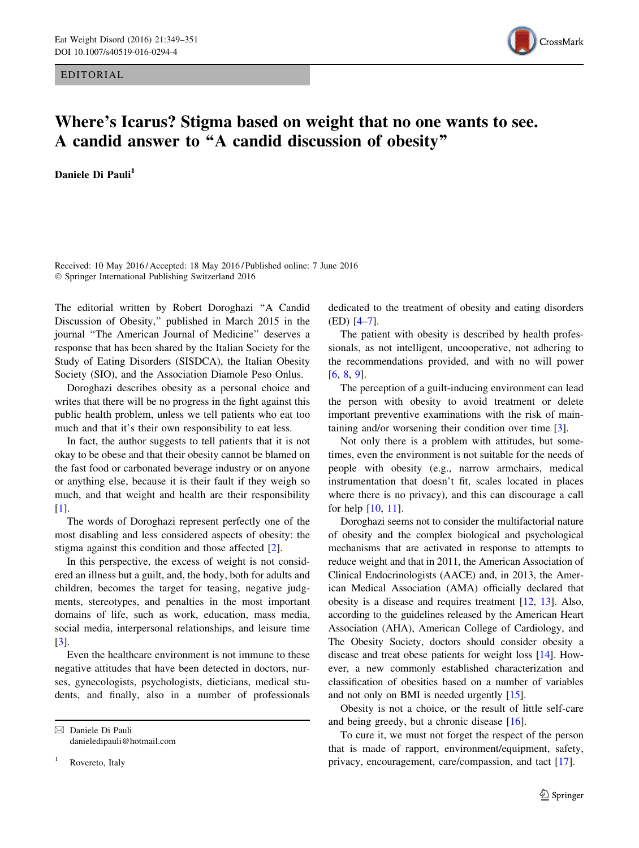EDITORIAL



## Where's Icarus? Stigma based on weight that no one wants to see. A candid answer to ''A candid discussion of obesity''

Daniele Di Pauli<sup>1</sup>

Received: 10 May 2016 / Accepted: 18 May 2016 / Published online: 7 June 2016 - Springer International Publishing Switzerland 2016

The editorial written by Robert Doroghazi ''A Candid Discussion of Obesity,'' published in March 2015 in the journal ''The American Journal of Medicine'' deserves a response that has been shared by the Italian Society for the Study of Eating Disorders (SISDCA), the Italian Obesity Society (SIO), and the Association Diamole Peso Onlus.

Doroghazi describes obesity as a personal choice and writes that there will be no progress in the fight against this public health problem, unless we tell patients who eat too much and that it's their own responsibility to eat less.

In fact, the author suggests to tell patients that it is not okay to be obese and that their obesity cannot be blamed on the fast food or carbonated beverage industry or on anyone or anything else, because it is their fault if they weigh so much, and that weight and health are their responsibility [\[1](#page-1-0)].

The words of Doroghazi represent perfectly one of the most disabling and less considered aspects of obesity: the stigma against this condition and those affected [[2\]](#page-1-0).

In this perspective, the excess of weight is not considered an illness but a guilt, and, the body, both for adults and children, becomes the target for teasing, negative judgments, stereotypes, and penalties in the most important domains of life, such as work, education, mass media, social media, interpersonal relationships, and leisure time [\[3](#page-1-0)].

Even the healthcare environment is not immune to these negative attitudes that have been detected in doctors, nurses, gynecologists, psychologists, dieticians, medical students, and finally, also in a number of professionals dedicated to the treatment of obesity and eating disorders (ED) [[4–7\]](#page-1-0).

The patient with obesity is described by health professionals, as not intelligent, uncooperative, not adhering to the recommendations provided, and with no will power [\[6](#page-1-0), [8](#page-1-0), [9](#page-2-0)].

The perception of a guilt-inducing environment can lead the person with obesity to avoid treatment or delete important preventive examinations with the risk of maintaining and/or worsening their condition over time [[3\]](#page-1-0).

Not only there is a problem with attitudes, but sometimes, even the environment is not suitable for the needs of people with obesity (e.g., narrow armchairs, medical instrumentation that doesn't fit, scales located in places where there is no privacy), and this can discourage a call for help [\[10](#page-2-0), [11\]](#page-2-0).

Doroghazi seems not to consider the multifactorial nature of obesity and the complex biological and psychological mechanisms that are activated in response to attempts to reduce weight and that in 2011, the American Association of Clinical Endocrinologists (AACE) and, in 2013, the American Medical Association (AMA) officially declared that obesity is a disease and requires treatment [[12](#page-2-0), [13\]](#page-2-0). Also, according to the guidelines released by the American Heart Association (AHA), American College of Cardiology, and The Obesity Society, doctors should consider obesity a disease and treat obese patients for weight loss [\[14\]](#page-2-0). However, a new commonly established characterization and classification of obesities based on a number of variables and not only on BMI is needed urgently [\[15\]](#page-2-0).

Obesity is not a choice, or the result of little self-care and being greedy, but a chronic disease [\[16](#page-2-0)].

To cure it, we must not forget the respect of the person that is made of rapport, environment/equipment, safety, privacy, encouragement, care/compassion, and tact [[17\]](#page-2-0).

 $\boxtimes$  Daniele Di Pauli danieledipauli@hotmail.com

Rovereto, Italy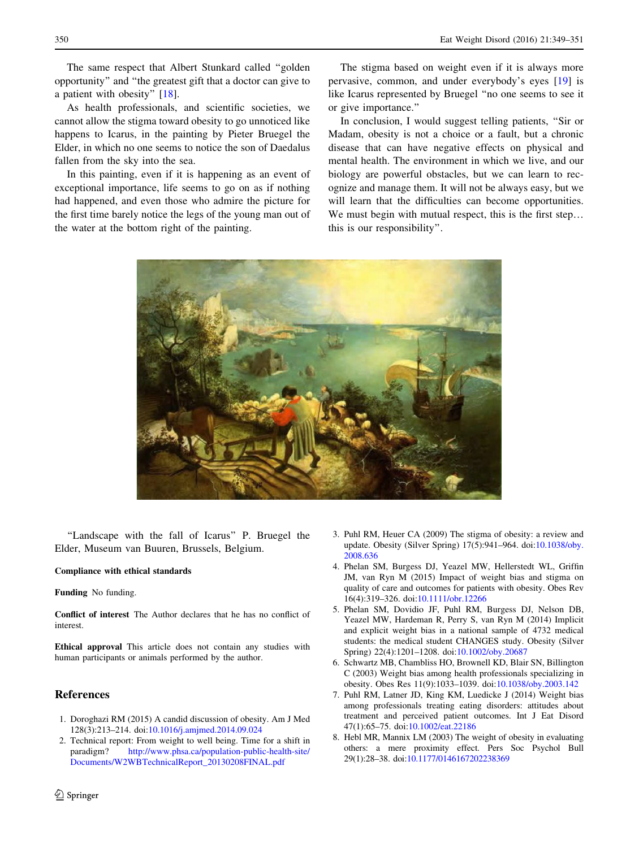<span id="page-1-0"></span>The same respect that Albert Stunkard called ''golden opportunity'' and ''the greatest gift that a doctor can give to a patient with obesity'' [[18\]](#page-2-0).

As health professionals, and scientific societies, we cannot allow the stigma toward obesity to go unnoticed like happens to Icarus, in the painting by Pieter Bruegel the Elder, in which no one seems to notice the son of Daedalus fallen from the sky into the sea.

In this painting, even if it is happening as an event of exceptional importance, life seems to go on as if nothing had happened, and even those who admire the picture for the first time barely notice the legs of the young man out of the water at the bottom right of the painting.

The stigma based on weight even if it is always more pervasive, common, and under everybody's eyes [[19\]](#page-2-0) is like Icarus represented by Bruegel ''no one seems to see it or give importance.''

In conclusion, I would suggest telling patients, ''Sir or Madam, obesity is not a choice or a fault, but a chronic disease that can have negative effects on physical and mental health. The environment in which we live, and our biology are powerful obstacles, but we can learn to recognize and manage them. It will not be always easy, but we will learn that the difficulties can become opportunities. We must begin with mutual respect, this is the first step... this is our responsibility''.



"Landscape with the fall of Icarus" P. Bruegel the Elder, Museum van Buuren, Brussels, Belgium.

## Compliance with ethical standards

Funding No funding.

Conflict of interest The Author declares that he has no conflict of interest.

Ethical approval This article does not contain any studies with human participants or animals performed by the author.

## References

- 1. Doroghazi RM (2015) A candid discussion of obesity. Am J Med 128(3):213–214. doi[:10.1016/j.amjmed.2014.09.024](http://dx.doi.org/10.1016/j.amjmed.2014.09.024)
- 2. Technical report: From weight to well being. Time for a shift in paradigm? [http://www.phsa.ca/population-public-health-site/](http://www.phsa.ca/population-public-health-site/Documents/W2WBTechnicalReport_20130208FINAL.pdf) [Documents/W2WBTechnicalReport\\_20130208FINAL.pdf](http://www.phsa.ca/population-public-health-site/Documents/W2WBTechnicalReport_20130208FINAL.pdf)
- 3. Puhl RM, Heuer CA (2009) The stigma of obesity: a review and update. Obesity (Silver Spring) 17(5):941–964. doi:[10.1038/oby.](http://dx.doi.org/10.1038/oby.2008.636) [2008.636](http://dx.doi.org/10.1038/oby.2008.636)
- 4. Phelan SM, Burgess DJ, Yeazel MW, Hellerstedt WL, Griffin JM, van Ryn M (2015) Impact of weight bias and stigma on quality of care and outcomes for patients with obesity. Obes Rev 16(4):319–326. doi[:10.1111/obr.12266](http://dx.doi.org/10.1111/obr.12266)
- 5. Phelan SM, Dovidio JF, Puhl RM, Burgess DJ, Nelson DB, Yeazel MW, Hardeman R, Perry S, van Ryn M (2014) Implicit and explicit weight bias in a national sample of 4732 medical students: the medical student CHANGES study. Obesity (Silver Spring) 22(4):1201–1208. doi:[10.1002/oby.20687](http://dx.doi.org/10.1002/oby.20687)
- 6. Schwartz MB, Chambliss HO, Brownell KD, Blair SN, Billington C (2003) Weight bias among health professionals specializing in obesity. Obes Res 11(9):1033–1039. doi:[10.1038/oby.2003.142](http://dx.doi.org/10.1038/oby.2003.142)
- 7. Puhl RM, Latner JD, King KM, Luedicke J (2014) Weight bias among professionals treating eating disorders: attitudes about treatment and perceived patient outcomes. Int J Eat Disord 47(1):65–75. doi:[10.1002/eat.22186](http://dx.doi.org/10.1002/eat.22186)
- 8. Hebl MR, Mannix LM (2003) The weight of obesity in evaluating others: a mere proximity effect. Pers Soc Psychol Bull 29(1):28–38. doi[:10.1177/0146167202238369](http://dx.doi.org/10.1177/0146167202238369)